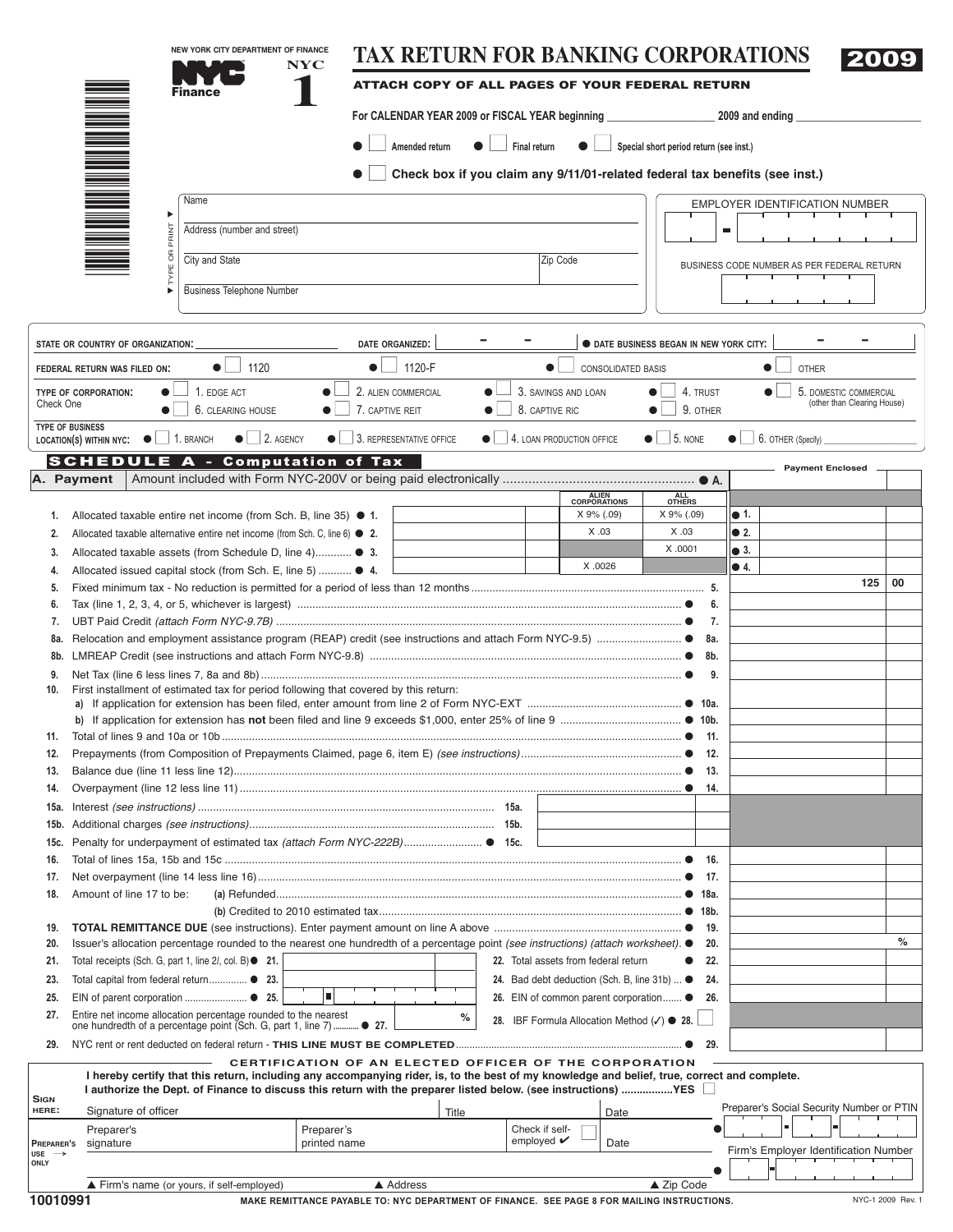|                                  | NEW YORK CITY DEPARTMENT OF FINANCE<br><b>NYC</b>                                                                                              |              |                                            |                                       |                             |                                                                | <b>TAX RETURN FOR BANKING CORPORATIONS</b>                                  |                                            | 2009                                  |                   |
|----------------------------------|------------------------------------------------------------------------------------------------------------------------------------------------|--------------|--------------------------------------------|---------------------------------------|-----------------------------|----------------------------------------------------------------|-----------------------------------------------------------------------------|--------------------------------------------|---------------------------------------|-------------------|
|                                  |                                                                                                                                                |              |                                            |                                       |                             |                                                                | ATTACH COPY OF ALL PAGES OF YOUR FEDERAL RETURN                             |                                            |                                       |                   |
|                                  |                                                                                                                                                |              |                                            |                                       |                             |                                                                |                                                                             |                                            |                                       |                   |
|                                  |                                                                                                                                                |              | Amended return                             |                                       | Final return                |                                                                | Special short period return (see inst.)                                     |                                            |                                       |                   |
|                                  |                                                                                                                                                |              |                                            |                                       |                             |                                                                | Check box if you claim any 9/11/01-related federal tax benefits (see inst.) |                                            |                                       |                   |
|                                  | Name                                                                                                                                           |              |                                            |                                       |                             |                                                                |                                                                             |                                            |                                       |                   |
|                                  |                                                                                                                                                |              |                                            |                                       |                             |                                                                |                                                                             | <b>EMPLOYER IDENTIFICATION NUMBER</b>      |                                       |                   |
|                                  | Address (number and street)                                                                                                                    |              |                                            |                                       |                             |                                                                |                                                                             | $\blacksquare$                             |                                       |                   |
|                                  | City and State                                                                                                                                 |              |                                            |                                       | Zip Code                    |                                                                |                                                                             |                                            |                                       |                   |
|                                  |                                                                                                                                                |              |                                            |                                       |                             |                                                                |                                                                             | BUSINESS CODE NUMBER AS PER FEDERAL RETURN |                                       |                   |
|                                  | <b>Business Telephone Number</b>                                                                                                               |              |                                            |                                       |                             |                                                                |                                                                             |                                            |                                       |                   |
|                                  | STATE OR COUNTRY OF ORGANIZATION:                                                                                                              |              | DATE ORGANIZED:                            |                                       |                             |                                                                | <b>O DATE BUSINESS BEGAN IN NEW YORK CITY:</b>                              |                                            |                                       |                   |
|                                  | 1120<br>$\bullet$ $\overline{\phantom{a}}$<br>FEDERAL RETURN WAS FILED ON:                                                                     | $\bullet$    | 1120-F                                     |                                       | $\bullet$                   | CONSOLIDATED BASIS                                             |                                                                             | $\bullet$                                  | <b>OTHER</b>                          |                   |
|                                  | 1. EDGE ACT<br>TYPE OF CORPORATION:                                                                                                            |              | 2. ALIEN COMMERCIAL                        |                                       | 3. SAVINGS AND LOAN         |                                                                | 4. TRUST                                                                    |                                            | 5. DOMESTIC COMMERCIAL                |                   |
| Check One                        | 6. CLEARING HOUSE                                                                                                                              |              | 7. CAPTIVE REIT                            |                                       | 8. CAPTIVE RIC              |                                                                | 9. OTHER                                                                    |                                            | (other than Clearing House)           |                   |
|                                  | <b>TYPE OF BUSINESS</b><br>$\bullet$ 2. AGENCY<br>$1.$ BRANCH<br>LOCATION(S) WITHIN NYC: $\bullet$                                             |              | $\bullet$ $\vert$ 3. REPRESENTATIVE OFFICE | $\bullet$   4. LOAN PRODUCTION OFFICE |                             |                                                                | $\bullet$ 5. NONE                                                           | 6. OTHER (Specify)                         |                                       |                   |
|                                  | <b>SCHEDULE A - Computation of Tax</b>                                                                                                         |              |                                            |                                       |                             |                                                                |                                                                             |                                            |                                       |                   |
|                                  | A. Payment                                                                                                                                     |              |                                            |                                       |                             |                                                                |                                                                             |                                            | <b>Payment Enclosed</b>               |                   |
|                                  |                                                                                                                                                |              |                                            |                                       |                             | ALIEN<br>CORPORATIONS                                          | ALL<br>OTHERS                                                               |                                            |                                       |                   |
| 1.                               | Allocated taxable entire net income (from Sch. B, line 35) $\bullet$ 1.                                                                        |              |                                            |                                       |                             | X 9% (.09)                                                     | X 9% (.09)                                                                  | ● 1.                                       |                                       |                   |
| 2.                               | Allocated taxable alternative entire net income (from Sch. C, line 6) $\bullet$ 2.                                                             |              |                                            |                                       |                             | X.03                                                           | X .03                                                                       | $\bullet$ 2.                               |                                       |                   |
| 3.                               | Allocated taxable assets (from Schedule D, line 4) ● 3.                                                                                        |              |                                            |                                       |                             | X .0026                                                        | X .0001                                                                     | $\bullet$ 3.<br>$\bullet$ 4.               |                                       |                   |
| 4.                               | Allocated issued capital stock (from Sch. E, line 5)  ● 4.                                                                                     |              |                                            |                                       |                             |                                                                |                                                                             |                                            | 125                                   | 00                |
| 5.<br>6.                         |                                                                                                                                                |              |                                            |                                       |                             |                                                                | 6.                                                                          |                                            |                                       |                   |
| 7.                               |                                                                                                                                                |              |                                            |                                       |                             |                                                                | 7.                                                                          |                                            |                                       |                   |
| 8a.                              |                                                                                                                                                |              |                                            |                                       |                             |                                                                | 8a.                                                                         |                                            |                                       |                   |
| 8b.                              |                                                                                                                                                |              |                                            |                                       |                             |                                                                | 8b.                                                                         |                                            |                                       |                   |
| 9.                               |                                                                                                                                                |              |                                            |                                       |                             |                                                                | 9.                                                                          |                                            |                                       |                   |
| 10.                              | First installment of estimated tax for period following that covered by this return:                                                           |              |                                            |                                       |                             |                                                                |                                                                             |                                            |                                       |                   |
|                                  |                                                                                                                                                |              |                                            |                                       |                             |                                                                |                                                                             |                                            |                                       |                   |
| 11.                              |                                                                                                                                                |              |                                            |                                       |                             |                                                                | 11.                                                                         |                                            |                                       |                   |
| 12.                              |                                                                                                                                                |              |                                            |                                       |                             |                                                                | - 12.                                                                       |                                            |                                       |                   |
| 13.                              |                                                                                                                                                |              |                                            |                                       |                             |                                                                | -13.                                                                        |                                            |                                       |                   |
| 14.                              |                                                                                                                                                |              |                                            |                                       |                             |                                                                | 14.                                                                         |                                            |                                       |                   |
| 15a.<br>15b.                     |                                                                                                                                                |              |                                            |                                       |                             |                                                                |                                                                             |                                            |                                       |                   |
| 15c.                             | Penalty for underpayment of estimated tax (attach Form NYC-222B)● 15c.                                                                         |              |                                            |                                       |                             |                                                                |                                                                             |                                            |                                       |                   |
| 16.                              |                                                                                                                                                |              |                                            |                                       |                             |                                                                | - 16.                                                                       |                                            |                                       |                   |
| 17.                              |                                                                                                                                                |              |                                            |                                       |                             |                                                                | 17.                                                                         |                                            |                                       |                   |
| 18.                              | Amount of line 17 to be:                                                                                                                       |              |                                            |                                       |                             |                                                                |                                                                             |                                            |                                       |                   |
|                                  |                                                                                                                                                |              |                                            |                                       |                             |                                                                |                                                                             |                                            |                                       |                   |
| 19.<br>20.                       | Issuer's allocation percentage rounded to the nearest one hundredth of a percentage point (see instructions) (attach worksheet). ●             |              |                                            |                                       |                             |                                                                | 19.<br>20.                                                                  |                                            |                                       | $\%$              |
| 21.                              | Total receipts (Sch. G, part 1, line 2l, col. B) ● 21.                                                                                         |              |                                            |                                       |                             | 22. Total assets from federal return                           | 22.                                                                         |                                            |                                       |                   |
| 23.                              | Total capital from federal return <sup>23</sup> .                                                                                              |              |                                            |                                       |                             | 24. Bad debt deduction (Sch. B, line 31b)  ●                   | 24.                                                                         |                                            |                                       |                   |
| 25.                              | п                                                                                                                                              |              |                                            |                                       |                             |                                                                | 26. EIN of common parent corporation • 26.                                  |                                            |                                       |                   |
| 27.                              | Entire net income allocation percentage rounded to the nearest<br>one hundredth of a percentage point (Sch. G, part 1, line 7) <sup>27</sup> . |              | %                                          |                                       |                             | 28. IBF Formula Allocation Method $(\checkmark)$ $\bullet$ 28. |                                                                             |                                            |                                       |                   |
| 29.                              |                                                                                                                                                |              |                                            |                                       |                             |                                                                | 29.                                                                         |                                            |                                       |                   |
|                                  | CERTIFICATION OF AN ELECTED OFFICER OF THE CORPORATION                                                                                         |              |                                            |                                       |                             |                                                                |                                                                             |                                            |                                       |                   |
|                                  | I hereby certify that this return, including any accompanying rider, is, to the best of my knowledge and belief, true, correct and complete.   |              |                                            |                                       |                             |                                                                |                                                                             |                                            |                                       |                   |
| <b>SIGN</b>                      | I authorize the Dept. of Finance to discuss this return with the preparer listed below. (see instructions) YES                                 |              |                                            |                                       |                             |                                                                |                                                                             | Preparer's Social Security Number or PTIN  |                                       |                   |
| HERE:                            | Signature of officer<br>Preparer's                                                                                                             |              | Title                                      |                                       | Check if self-              | Date                                                           |                                                                             |                                            |                                       |                   |
| PREPARER'S                       | Preparer's<br>signature                                                                                                                        | printed name |                                            |                                       | employed $\boldsymbol{\nu}$ | Date                                                           |                                                                             |                                            |                                       |                   |
| $use \rightarrow$<br><b>ONLY</b> |                                                                                                                                                |              |                                            |                                       |                             |                                                                |                                                                             |                                            | Firm's Employer Identification Number |                   |
|                                  | Firm's name (or yours, if self-employed)                                                                                                       |              | ▲ Address                                  |                                       |                             |                                                                | ▲ Zip Code                                                                  |                                            |                                       |                   |
| 10010991                         | MAKE REMITTANCE PAYABLE TO: NYC DEPARTMENT OF FINANCE. SEE PAGE 8 FOR MAILING INSTRUCTIONS.                                                    |              |                                            |                                       |                             |                                                                |                                                                             |                                            |                                       | NYC-1 2009 Rev. 1 |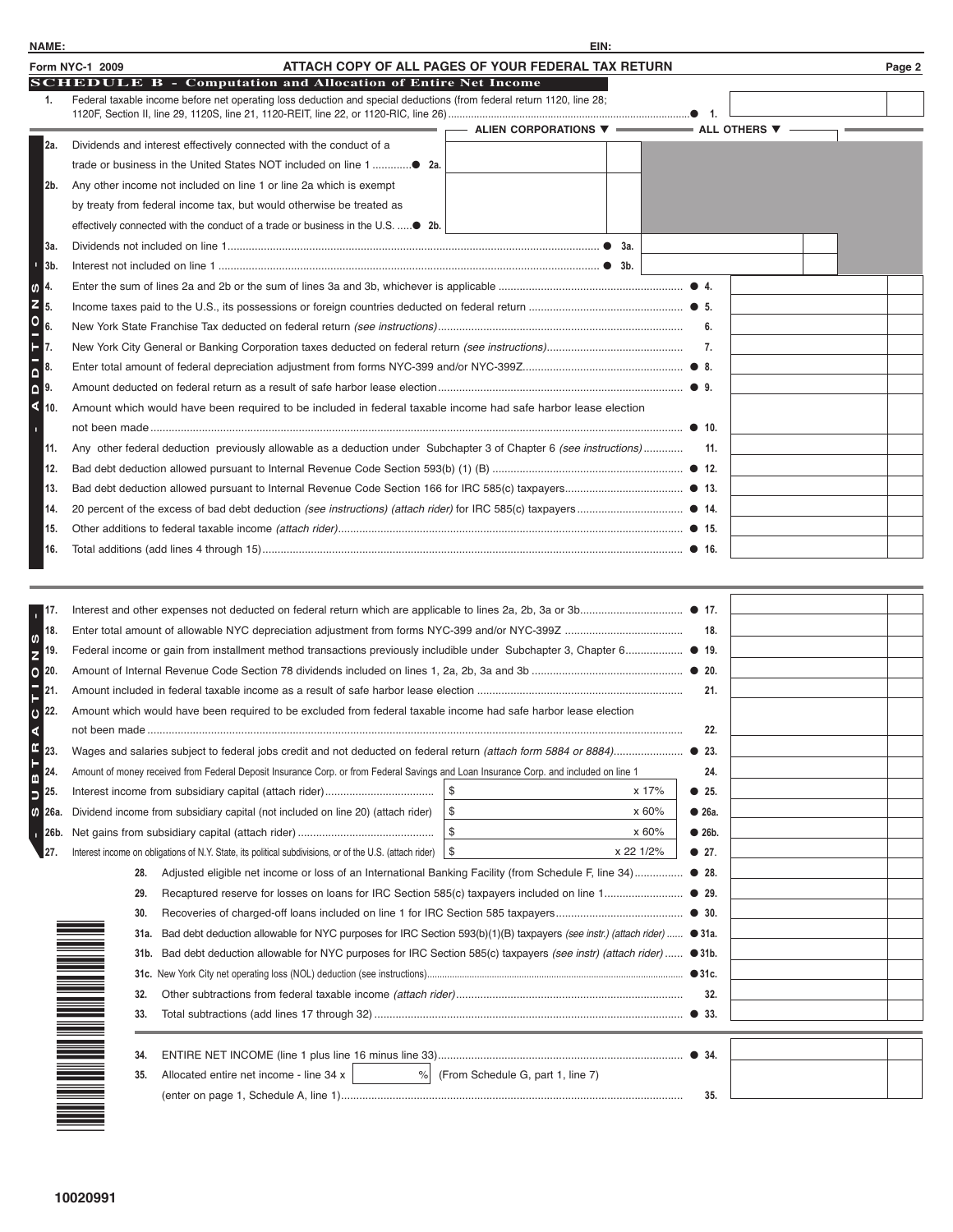|                               | ATTACH COPY OF ALL PAGES OF YOUR FEDERAL TAX RETURN<br>Form NYC-1 2009                                                |                                              |     | Page 2 |
|-------------------------------|-----------------------------------------------------------------------------------------------------------------------|----------------------------------------------|-----|--------|
|                               | <b>SCHEDULE B - Computation and Allocation of Entire Net Income</b>                                                   |                                              |     |        |
| 1.                            | Federal taxable income before net operating loss deduction and special deductions (from federal return 1120, line 28; |                                              |     |        |
|                               |                                                                                                                       | ALIEN CORPORATIONS ▼ –––––––––– ALL OTHERS ▼ |     |        |
| 2a.                           | Dividends and interest effectively connected with the conduct of a                                                    |                                              |     |        |
|                               |                                                                                                                       |                                              |     |        |
| 2b.                           | Any other income not included on line 1 or line 2a which is exempt                                                    |                                              |     |        |
|                               | by treaty from federal income tax, but would otherwise be treated as                                                  |                                              |     |        |
|                               |                                                                                                                       |                                              |     |        |
| 3а.                           |                                                                                                                       |                                              |     |        |
| n,<br>3b.                     |                                                                                                                       |                                              |     |        |
| 4.<br>$\boldsymbol{\omega}$   |                                                                                                                       |                                              |     |        |
| 5.                            |                                                                                                                       |                                              |     |        |
|                               |                                                                                                                       |                                              | 6.  |        |
| 7.                            |                                                                                                                       |                                              | 7.  |        |
| NOITIO<br>8.                  |                                                                                                                       |                                              |     |        |
| $\overline{\mathbf{a}}$<br>9. |                                                                                                                       |                                              |     |        |
| ∢<br>10.                      | Amount which would have been required to be included in federal taxable income had safe harbor lease election         |                                              |     |        |
|                               |                                                                                                                       |                                              |     |        |
| 11.                           | Any other federal deduction previously allowable as a deduction under Subchapter 3 of Chapter 6 (see instructions)    |                                              | 11. |        |
| 12.                           |                                                                                                                       |                                              |     |        |
| 13.                           |                                                                                                                       |                                              |     |        |
| 14.                           |                                                                                                                       |                                              |     |        |
| 15.                           |                                                                                                                       |                                              |     |        |
| 16.                           |                                                                                                                       |                                              |     |        |
|                               |                                                                                                                       |                                              |     |        |
| 17.                           |                                                                                                                       |                                              |     |        |
| 18.<br>$\mathbf{f}$           |                                                                                                                       |                                              | 18. |        |

| 17.      |                                                                                                                                                                                                                                         |           |               |  |
|----------|-----------------------------------------------------------------------------------------------------------------------------------------------------------------------------------------------------------------------------------------|-----------|---------------|--|
| 18.      |                                                                                                                                                                                                                                         |           | 18.           |  |
| 19.      | Federal income or gain from installment method transactions previously includible under Subchapter 3, Chapter 6 ● 19.                                                                                                                   |           |               |  |
| 20.<br>e |                                                                                                                                                                                                                                         |           |               |  |
| 21.      |                                                                                                                                                                                                                                         |           | 21.           |  |
| 22.      | Amount which would have been required to be excluded from federal taxable income had safe harbor lease election                                                                                                                         |           |               |  |
|          |                                                                                                                                                                                                                                         |           | 22.           |  |
| 23.      |                                                                                                                                                                                                                                         |           |               |  |
| 24.      | Amount of money received from Federal Deposit Insurance Corp. or from Federal Savings and Loan Insurance Corp. and included on line 1                                                                                                   |           | 24.           |  |
| 25.      |                                                                                                                                                                                                                                         | x 17%     | • 25.         |  |
| 26a.     | S.<br>Dividend income from subsidiary capital (not included on line 20) (attach rider)                                                                                                                                                  | x 60%     | • 26a.        |  |
| 26b.     | \$                                                                                                                                                                                                                                      | x 60%     | • 26b.        |  |
| 27.      | <b>S</b><br>Interest income on obligations of N.Y. State, its political subdivisions, or of the U.S. (attach rider)                                                                                                                     | x 22 1/2% | $\bullet$ 27. |  |
|          | Adjusted eligible net income or loss of an International Banking Facility (from Schedule F, line 34) ● 28.<br>28.                                                                                                                       |           |               |  |
|          | 29.                                                                                                                                                                                                                                     |           |               |  |
|          | 30.                                                                                                                                                                                                                                     |           |               |  |
|          | Bad debt deduction allowable for NYC purposes for IRC Section 593(b)(1)(B) taxpayers (see instr.) (attach rider)  ● 31a.<br>31a.                                                                                                        |           |               |  |
|          | Bad debt deduction allowable for NYC purposes for IRC Section 585(c) taxpayers (see instr) (attach rider)  ● 31b.<br>31b.                                                                                                               |           |               |  |
|          |                                                                                                                                                                                                                                         |           |               |  |
|          | 32.                                                                                                                                                                                                                                     |           | 32.           |  |
|          | 33.                                                                                                                                                                                                                                     |           |               |  |
|          |                                                                                                                                                                                                                                         |           |               |  |
|          | n de la mandata de la construction de la construction de la construction de la construction de la construction<br>La construction de la construction de la construction de la construction de la construction de la construction<br>34. |           |               |  |
|          | % (From Schedule G, part 1, line 7)<br>Allocated entire net income - line 34 x  <br>35.                                                                                                                                                 |           |               |  |
|          |                                                                                                                                                                                                                                         |           | 35.           |  |
|          |                                                                                                                                                                                                                                         |           |               |  |
|          |                                                                                                                                                                                                                                         |           |               |  |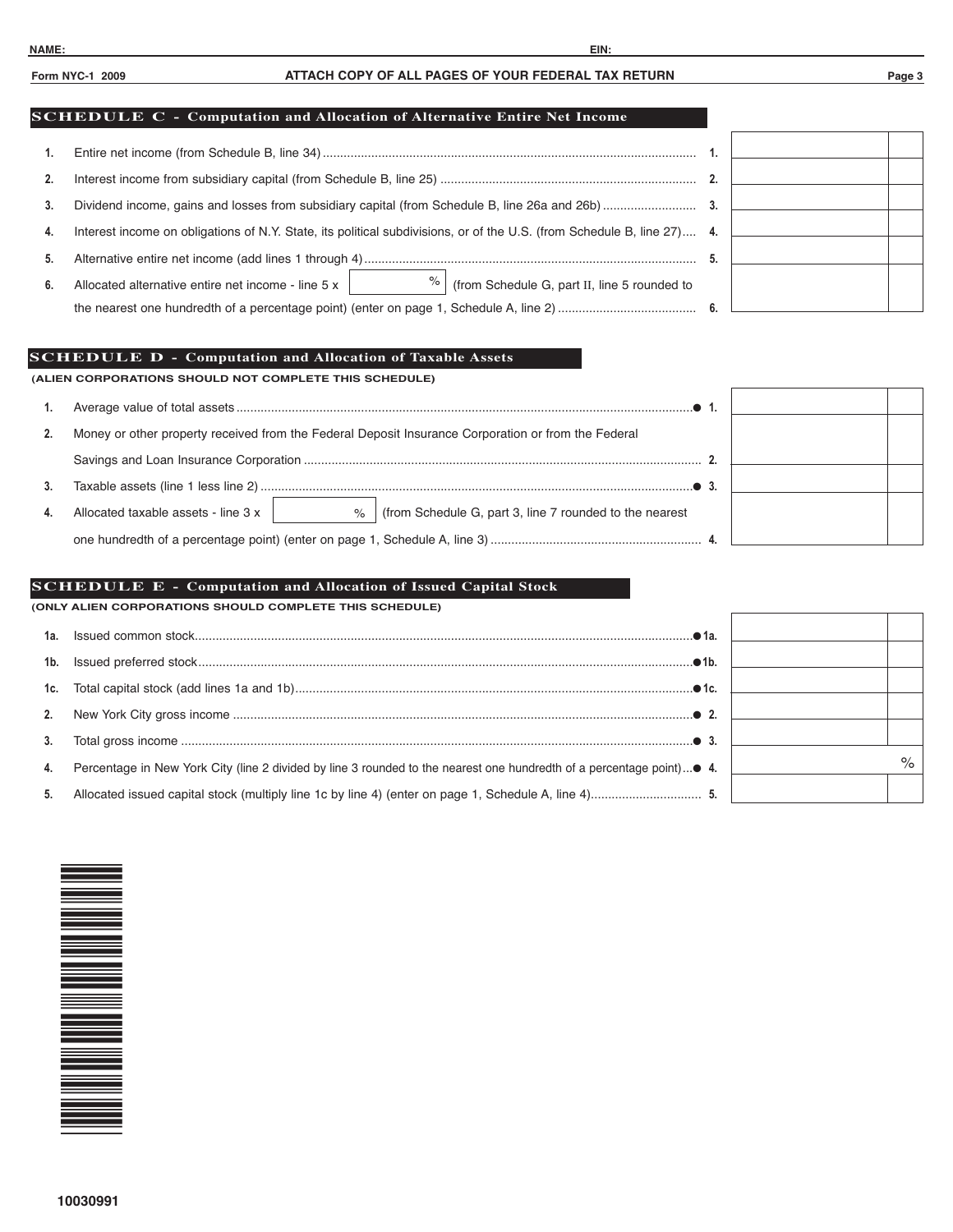# **Form NYC-1 2009 ATTACH COPY OF ALL PAGES OF YOUR FEDERAL TAX RETURN Page 3**

## **SCHEDULE C - Computation and Allocation of Alternative Entire Net Income**

| 4. | Interest income on obligations of N.Y. State, its political subdivisions, or of the U.S. (from Schedule B, line 27) 4. |  |  |
|----|------------------------------------------------------------------------------------------------------------------------|--|--|
| 5. |                                                                                                                        |  |  |
| 6. | %<br>(from Schedule G, part II, line 5 rounded to<br>Allocated alternative entire net income - line 5 x                |  |  |
|    |                                                                                                                        |  |  |
|    |                                                                                                                        |  |  |

# **SCHEDULE D - Computation and Allocation of Taxable Assets**

**(ALIEN CORPORATIONS SHOULD NOT COMPLETE THIS SCHEDULE)**

|    | Money or other property received from the Federal Deposit Insurance Corporation or from the Federal |  |
|----|-----------------------------------------------------------------------------------------------------|--|
|    |                                                                                                     |  |
|    |                                                                                                     |  |
| 4. | (from Schedule G, part 3, line 7 rounded to the nearest<br>Allocated taxable assets - line 3 x<br>% |  |
|    |                                                                                                     |  |

### **SCHEDULE E - Computation and Allocation of Issued Capital Stock**

**(ONLY ALIEN CORPORATIONS SHOULD COMPLETE THIS SCHEDULE)**

| 1a. |                                                                                                                   |  |  |
|-----|-------------------------------------------------------------------------------------------------------------------|--|--|
|     |                                                                                                                   |  |  |
|     |                                                                                                                   |  |  |
|     |                                                                                                                   |  |  |
| 3.  |                                                                                                                   |  |  |
| 4.  | Percentage in New York City (line 2 divided by line 3 rounded to the nearest one hundredth of a percentage point) |  |  |
| 5.  |                                                                                                                   |  |  |

| ä |      |
|---|------|
| ä |      |
| ä |      |
| ٠ |      |
| ä |      |
| ä | $\%$ |
| ٠ |      |

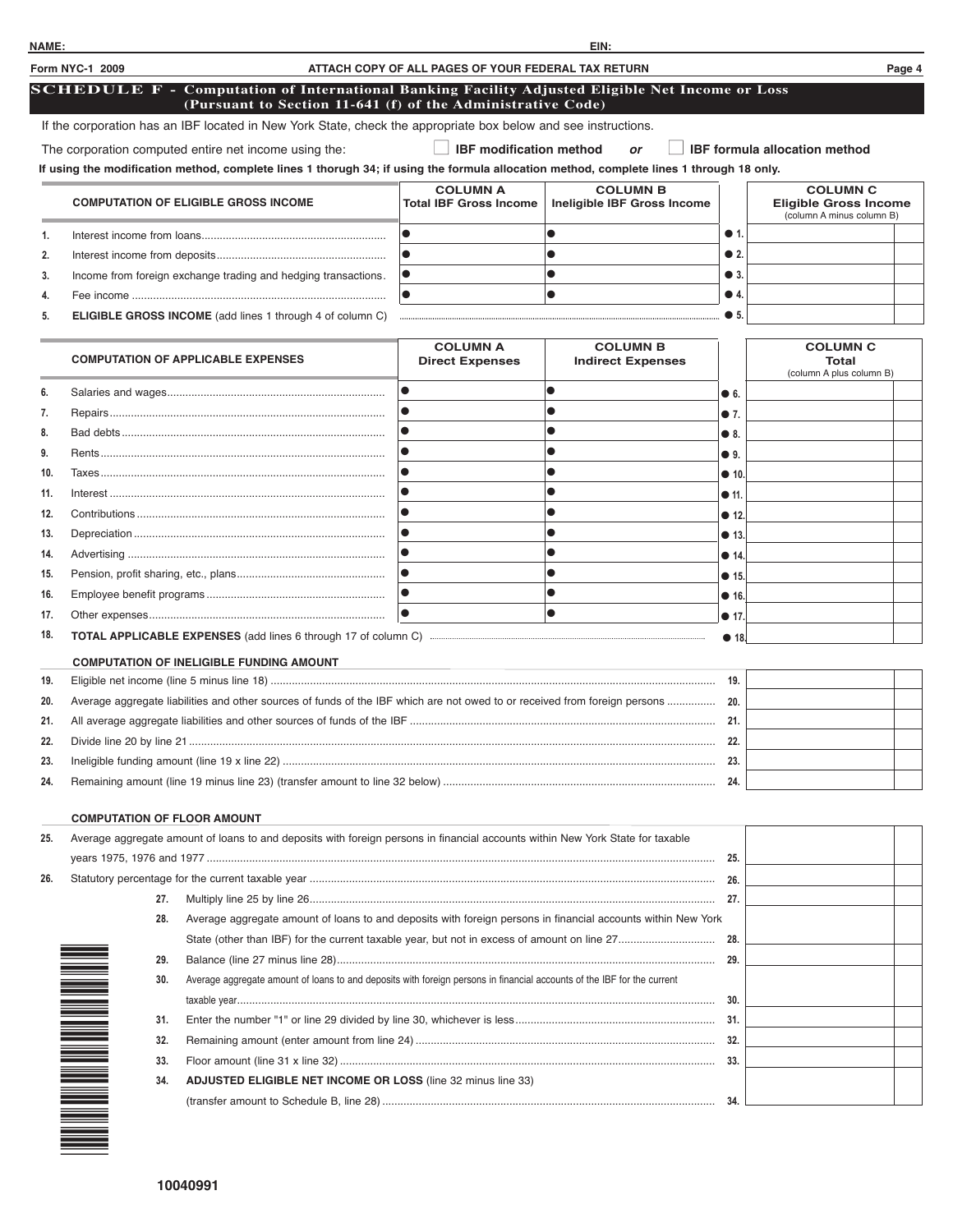|     | Form NYC-1 2009                    |                                                                                                                                                                                                   | ATTACH COPY OF ALL PAGES OF YOUR FEDERAL TAX RETURN |                                                |               |                                                                              | Page 4 |
|-----|------------------------------------|---------------------------------------------------------------------------------------------------------------------------------------------------------------------------------------------------|-----------------------------------------------------|------------------------------------------------|---------------|------------------------------------------------------------------------------|--------|
|     |                                    | <b>SCHEDULE F - Computation of International Banking Facility Adjusted Eligible Net Income or Loss</b><br>(Pursuant to Section 11-641 (f) of the Administrative Code)                             |                                                     |                                                |               |                                                                              |        |
|     |                                    | If the corporation has an IBF located in New York State, check the appropriate box below and see instructions.                                                                                    |                                                     |                                                |               |                                                                              |        |
|     |                                    |                                                                                                                                                                                                   | <b>IBF modification method</b>                      |                                                |               |                                                                              |        |
|     |                                    | The corporation computed entire net income using the:<br>If using the modification method, complete lines 1 thorugh 34; if using the formula allocation method, complete lines 1 through 18 only. |                                                     | <b>or</b>                                      |               | <b>IBF</b> formula allocation method                                         |        |
|     |                                    |                                                                                                                                                                                                   |                                                     |                                                |               |                                                                              |        |
|     |                                    | <b>COMPUTATION OF ELIGIBLE GROSS INCOME</b>                                                                                                                                                       | <b>COLUMN A</b><br><b>Total IBF Gross Income</b>    | <b>COLUMN B</b><br>Ineligible IBF Gross Income |               | <b>COLUMN C</b><br><b>Eligible Gross Income</b><br>(column A minus column B) |        |
| 1.  |                                    |                                                                                                                                                                                                   | $\bullet$                                           | $\bullet$                                      | $\bullet$ 1.  |                                                                              |        |
| 2.  |                                    |                                                                                                                                                                                                   | $\bullet$                                           |                                                | $\bullet$ 2.  |                                                                              |        |
| 3.  |                                    | Income from foreign exchange trading and hedging transactions.                                                                                                                                    | lo                                                  | $\bullet$                                      | $\bullet$ 3.  |                                                                              |        |
| 4.  |                                    |                                                                                                                                                                                                   | $\bullet$                                           |                                                | $\bullet$ 4.  |                                                                              |        |
| 5.  |                                    | <b>ELIGIBLE GROSS INCOME</b> (add lines 1 through 4 of column C)                                                                                                                                  |                                                     |                                                | $\bullet$ 5.  |                                                                              |        |
|     |                                    |                                                                                                                                                                                                   |                                                     |                                                |               |                                                                              |        |
|     |                                    | <b>COMPUTATION OF APPLICABLE EXPENSES</b>                                                                                                                                                         | <b>COLUMN A</b><br><b>Direct Expenses</b>           | <b>COLUMN B</b><br><b>Indirect Expenses</b>    |               | <b>COLUMN C</b><br><b>Total</b><br>(column A plus column B)                  |        |
| 6.  |                                    |                                                                                                                                                                                                   | $\bullet$                                           | $\bullet$                                      | 66            |                                                                              |        |
| 7.  |                                    |                                                                                                                                                                                                   | $\bullet$                                           |                                                | $\bullet$ 7.  |                                                                              |        |
| 8.  |                                    |                                                                                                                                                                                                   |                                                     |                                                | $\bullet$ 8.  |                                                                              |        |
| 9.  |                                    |                                                                                                                                                                                                   | $\bullet$                                           |                                                | ● 9.          |                                                                              |        |
| 10. |                                    |                                                                                                                                                                                                   | $\bullet$                                           |                                                | • 10.         |                                                                              |        |
| 11. |                                    |                                                                                                                                                                                                   | $\bullet$                                           |                                                | • 11.         |                                                                              |        |
| 12. |                                    |                                                                                                                                                                                                   | $\bullet$                                           |                                                | • 12          |                                                                              |        |
| 13. |                                    |                                                                                                                                                                                                   | $\bullet$                                           |                                                | • 13.         |                                                                              |        |
| 14. |                                    |                                                                                                                                                                                                   | $\bullet$                                           |                                                | • 14          |                                                                              |        |
| 15. |                                    |                                                                                                                                                                                                   | $\bullet$                                           |                                                | • 15.         |                                                                              |        |
| 16. |                                    |                                                                                                                                                                                                   | $\bullet$                                           |                                                | • 16.         |                                                                              |        |
| 17. |                                    |                                                                                                                                                                                                   | $\bullet$                                           | $\bullet$                                      | $\bullet$ 17. |                                                                              |        |
| 18. |                                    |                                                                                                                                                                                                   |                                                     |                                                | • 18          |                                                                              |        |
|     |                                    | <b>COMPUTATION OF INELIGIBLE FUNDING AMOUNT</b>                                                                                                                                                   |                                                     |                                                |               |                                                                              |        |
| 19. |                                    |                                                                                                                                                                                                   |                                                     |                                                |               |                                                                              |        |
| 20. |                                    | Average aggregate liabilities and other sources of funds of the IBF which are not owed to or received from foreign persons 20.                                                                    |                                                     |                                                |               |                                                                              |        |
| 21. |                                    |                                                                                                                                                                                                   |                                                     |                                                | - 21.         |                                                                              |        |
| 22. |                                    |                                                                                                                                                                                                   |                                                     |                                                |               |                                                                              |        |
| 23. |                                    |                                                                                                                                                                                                   |                                                     |                                                |               |                                                                              |        |
| 24. |                                    |                                                                                                                                                                                                   |                                                     |                                                |               |                                                                              |        |
|     |                                    |                                                                                                                                                                                                   |                                                     |                                                |               |                                                                              |        |
|     | <b>COMPUTATION OF FLOOR AMOUNT</b> |                                                                                                                                                                                                   |                                                     |                                                |               |                                                                              |        |
| 25. |                                    | Average aggregate amount of loans to and deposits with foreign persons in financial accounts within New York State for taxable                                                                    |                                                     |                                                |               |                                                                              |        |
|     |                                    |                                                                                                                                                                                                   |                                                     |                                                |               |                                                                              |        |
| 26. |                                    |                                                                                                                                                                                                   |                                                     |                                                |               |                                                                              |        |
|     | 27.                                |                                                                                                                                                                                                   |                                                     |                                                |               |                                                                              |        |
|     | 28.                                | Average aggregate amount of loans to and deposits with foreign persons in financial accounts within New York                                                                                      |                                                     |                                                |               |                                                                              |        |
|     |                                    |                                                                                                                                                                                                   |                                                     |                                                |               |                                                                              |        |
|     | 29.                                |                                                                                                                                                                                                   |                                                     |                                                |               |                                                                              |        |
|     | 30.                                | Average aggregate amount of loans to and deposits with foreign persons in financial accounts of the IBF for the current                                                                           |                                                     |                                                |               |                                                                              |        |
|     | 31.                                |                                                                                                                                                                                                   |                                                     |                                                |               |                                                                              |        |
|     | 32.                                |                                                                                                                                                                                                   |                                                     |                                                |               |                                                                              |        |
|     | 33.                                |                                                                                                                                                                                                   |                                                     |                                                |               |                                                                              |        |
|     | 34.                                | ADJUSTED ELIGIBLE NET INCOME OR LOSS (line 32 minus line 33)                                                                                                                                      |                                                     |                                                |               |                                                                              |        |
|     |                                    |                                                                                                                                                                                                   |                                                     |                                                |               |                                                                              |        |
|     |                                    |                                                                                                                                                                                                   |                                                     |                                                |               |                                                                              |        |

**NAME: EIN:**

\*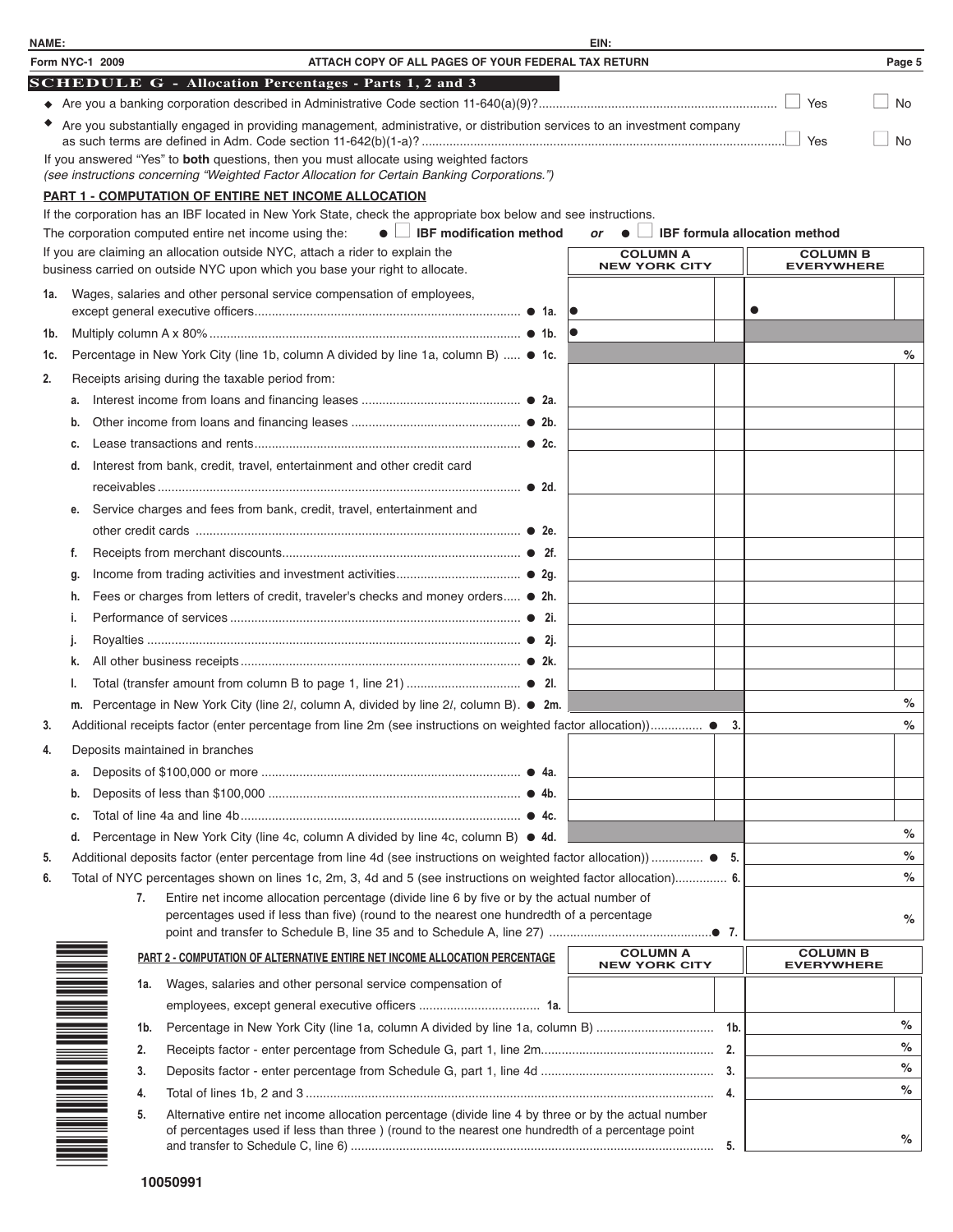| NAME: |                     | EIN:                                                                                                                                                                                                         |      |                                      |           |
|-------|---------------------|--------------------------------------------------------------------------------------------------------------------------------------------------------------------------------------------------------------|------|--------------------------------------|-----------|
|       | Form NYC-1 2009     | ATTACH COPY OF ALL PAGES OF YOUR FEDERAL TAX RETURN                                                                                                                                                          |      |                                      | Page 5    |
|       |                     | <b>SCHEDULE G - Allocation Percentages - Parts 1, 2 and 3</b>                                                                                                                                                |      |                                      |           |
|       |                     |                                                                                                                                                                                                              |      |                                      | $\Box$ No |
|       |                     | • Are you substantially engaged in providing management, administrative, or distribution services to an investment company                                                                                   |      |                                      | <b>No</b> |
|       |                     | If you answered "Yes" to both questions, then you must allocate using weighted factors<br>(see instructions concerning "Weighted Factor Allocation for Certain Banking Corporations.")                       |      |                                      |           |
|       |                     | <b>PART 1 - COMPUTATION OF ENTIRE NET INCOME ALLOCATION</b>                                                                                                                                                  |      |                                      |           |
|       |                     | If the corporation has an IBF located in New York State, check the appropriate box below and see instructions.                                                                                               |      |                                      |           |
|       |                     | $\bullet$ $\Box$ IBF modification method<br>The corporation computed entire net income using the:<br>or<br>$\bullet$                                                                                         |      | <b>IBF</b> formula allocation method |           |
|       |                     | If you are claiming an allocation outside NYC, attach a rider to explain the<br><b>COLUMN A</b><br><b>NEW YORK CITY</b><br>business carried on outside NYC upon which you base your right to allocate.       |      | <b>COLUMN B</b><br><b>EVERYWHERE</b> |           |
| 1a.   |                     | Wages, salaries and other personal service compensation of employees,                                                                                                                                        | ●    |                                      |           |
| 1b.   |                     |                                                                                                                                                                                                              |      |                                      |           |
| 1c.   |                     | Percentage in New York City (line 1b, column A divided by line 1a, column B)  ● 1c.                                                                                                                          |      |                                      | %         |
| 2.    |                     | Receipts arising during the taxable period from:                                                                                                                                                             |      |                                      |           |
|       | a.                  |                                                                                                                                                                                                              |      |                                      |           |
|       | b.                  |                                                                                                                                                                                                              |      |                                      |           |
|       | C.                  |                                                                                                                                                                                                              |      |                                      |           |
|       | d.                  | Interest from bank, credit, travel, entertainment and other credit card                                                                                                                                      |      |                                      |           |
|       |                     |                                                                                                                                                                                                              |      |                                      |           |
|       | е.                  | Service charges and fees from bank, credit, travel, entertainment and                                                                                                                                        |      |                                      |           |
|       |                     |                                                                                                                                                                                                              |      |                                      |           |
|       | f.                  |                                                                                                                                                                                                              |      |                                      |           |
|       | g.                  |                                                                                                                                                                                                              |      |                                      |           |
|       | h.                  | Fees or charges from letters of credit, traveler's checks and money orders ● 2h.                                                                                                                             |      |                                      |           |
|       | i.                  |                                                                                                                                                                                                              |      |                                      |           |
|       | J.                  |                                                                                                                                                                                                              |      |                                      |           |
|       | k.                  |                                                                                                                                                                                                              |      |                                      |           |
|       |                     |                                                                                                                                                                                                              |      |                                      |           |
|       | m.                  | Percentage in New York City (line 2l, column A, divided by line 2l, column B). ● 2m.                                                                                                                         |      |                                      | %<br>$\%$ |
| 3.    |                     | Additional receipts factor (enter percentage from line 2m (see instructions on weighted factor allocation)) ●                                                                                                | - 3. |                                      |           |
|       |                     | Deposits maintained in branches                                                                                                                                                                              |      |                                      |           |
|       | a.                  |                                                                                                                                                                                                              |      |                                      |           |
|       | b.                  |                                                                                                                                                                                                              |      |                                      |           |
|       | c.                  |                                                                                                                                                                                                              |      |                                      |           |
|       | d.                  | Percentage in New York City (line 4c, column A divided by line 4c, column B) ● 4d.                                                                                                                           |      |                                      | %<br>$\%$ |
| 5.    |                     | Additional deposits factor (enter percentage from line 4d (see instructions on weighted factor allocation))  ● 5.                                                                                            |      |                                      | $\%$      |
| 6.    | 7.                  | Total of NYC percentages shown on lines 1c, 2m, 3, 4d and 5 (see instructions on weighted factor allocation) 6.<br>Entire net income allocation percentage (divide line 6 by five or by the actual number of |      |                                      |           |
|       |                     | percentages used if less than five) (round to the nearest one hundredth of a percentage                                                                                                                      |      |                                      | %         |
|       |                     | <b>COLUMN A</b>                                                                                                                                                                                              |      | <b>COLUMN B</b>                      |           |
|       |                     | PART 2 - COMPUTATION OF ALTERNATIVE ENTIRE NET INCOME ALLOCATION PERCENTAGE<br><b>NEW YORK CITY</b>                                                                                                          |      | <b>EVERYWHERE</b>                    |           |
|       | 1a.                 | Wages, salaries and other personal service compensation of                                                                                                                                                   |      |                                      |           |
|       |                     |                                                                                                                                                                                                              |      |                                      |           |
|       | 1b.                 |                                                                                                                                                                                                              |      |                                      | %         |
|       | 2.                  |                                                                                                                                                                                                              |      |                                      | %         |
|       | 3.                  |                                                                                                                                                                                                              |      |                                      | %         |
|       | 4.                  |                                                                                                                                                                                                              |      |                                      | $\%$      |
|       | N NA MARINARA<br>5. | Alternative entire net income allocation percentage (divide line 4 by three or by the actual number<br>of percentages used if less than three ) (round to the nearest one hundredth of a percentage point    |      |                                      | %         |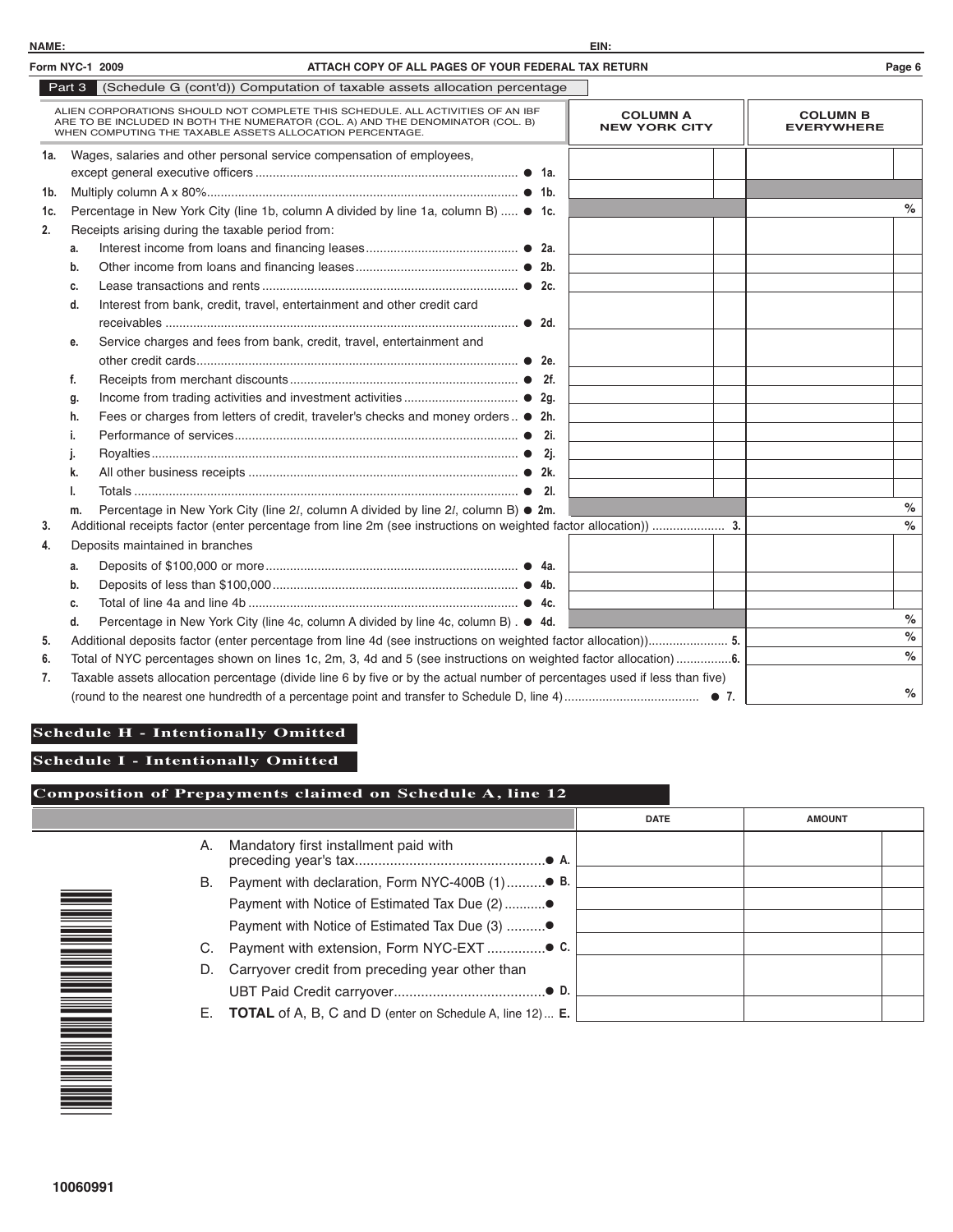| Form NYC-1 2009 |                                                                                                                | ATTACH COPY OF ALL PAGES OF YOUR FEDERAL TAX RETURN                                                                                                                                                                          |                                         | Page 6                               |
|-----------------|----------------------------------------------------------------------------------------------------------------|------------------------------------------------------------------------------------------------------------------------------------------------------------------------------------------------------------------------------|-----------------------------------------|--------------------------------------|
|                 |                                                                                                                | Part 3 (Schedule G (cont'd)) Computation of taxable assets allocation percentage                                                                                                                                             |                                         |                                      |
|                 |                                                                                                                | ALIEN CORPORATIONS SHOULD NOT COMPLETE THIS SCHEDULE. ALL ACTIVITIES OF AN IBF<br>ARE TO BE INCLUDED IN BOTH THE NUMERATOR (COL. A) AND THE DENOMINATOR (COL. B)<br>WHEN COMPUTING THE TAXABLE ASSETS ALLOCATION PERCENTAGE. | <b>COLUMN A</b><br><b>NEW YORK CITY</b> | <b>COLUMN B</b><br><b>EVERYWHERE</b> |
| 1a.             |                                                                                                                | Wages, salaries and other personal service compensation of employees,                                                                                                                                                        |                                         |                                      |
|                 |                                                                                                                |                                                                                                                                                                                                                              |                                         |                                      |
| 1b.             |                                                                                                                |                                                                                                                                                                                                                              |                                         |                                      |
| 1c.             |                                                                                                                | Percentage in New York City (line 1b, column A divided by line 1a, column B)  ● 1c.                                                                                                                                          |                                         | %                                    |
| 2.              |                                                                                                                | Receipts arising during the taxable period from:                                                                                                                                                                             |                                         |                                      |
|                 | a.                                                                                                             |                                                                                                                                                                                                                              |                                         |                                      |
|                 | b.                                                                                                             |                                                                                                                                                                                                                              |                                         |                                      |
|                 | c.                                                                                                             |                                                                                                                                                                                                                              |                                         |                                      |
|                 | d.                                                                                                             | Interest from bank, credit, travel, entertainment and other credit card                                                                                                                                                      |                                         |                                      |
|                 |                                                                                                                |                                                                                                                                                                                                                              |                                         |                                      |
|                 | е.                                                                                                             | Service charges and fees from bank, credit, travel, entertainment and                                                                                                                                                        |                                         |                                      |
|                 |                                                                                                                |                                                                                                                                                                                                                              |                                         |                                      |
|                 | f.                                                                                                             |                                                                                                                                                                                                                              |                                         |                                      |
|                 | g.                                                                                                             |                                                                                                                                                                                                                              |                                         |                                      |
|                 | h.                                                                                                             | Fees or charges from letters of credit, traveler's checks and money orders • 2h.                                                                                                                                             |                                         |                                      |
|                 | i.                                                                                                             | 2i.                                                                                                                                                                                                                          |                                         |                                      |
|                 | J.                                                                                                             |                                                                                                                                                                                                                              |                                         |                                      |
|                 | k.                                                                                                             |                                                                                                                                                                                                                              |                                         |                                      |
|                 |                                                                                                                | - 21.                                                                                                                                                                                                                        |                                         |                                      |
|                 | m.                                                                                                             | Percentage in New York City (line 2l, column A divided by line 2l, column B) ● 2m.                                                                                                                                           |                                         | $\%$                                 |
| 3.              |                                                                                                                | Additional receipts factor (enter percentage from line 2m (see instructions on weighted factor allocation))  3.                                                                                                              |                                         | $\%$                                 |
| 4.              |                                                                                                                | Deposits maintained in branches                                                                                                                                                                                              |                                         |                                      |
|                 | а.                                                                                                             |                                                                                                                                                                                                                              |                                         |                                      |
|                 | b.                                                                                                             |                                                                                                                                                                                                                              |                                         |                                      |
|                 | c.                                                                                                             |                                                                                                                                                                                                                              |                                         |                                      |
|                 | d.                                                                                                             | Percentage in New York City (line 4c, column A divided by line 4c, column B). ● 4d.                                                                                                                                          |                                         | $\%$                                 |
| 5.              | Additional deposits factor (enter percentage from line 4d (see instructions on weighted factor allocation)) 5. |                                                                                                                                                                                                                              |                                         | $\%$                                 |
| 6.              | $\%$                                                                                                           |                                                                                                                                                                                                                              |                                         |                                      |
| 7.              |                                                                                                                | Taxable assets allocation percentage (divide line 6 by five or by the actual number of percentages used if less than five)                                                                                                   |                                         |                                      |
|                 |                                                                                                                |                                                                                                                                                                                                                              |                                         | $\%$                                 |

# **Schedule H - Intentionally Omitted**

**Schedule I - Intentionally Omitted**

## **Composition of Prepayments claimed on Schedule A, line 12**

|    |                                                                        | <b>DATE</b> | <b>AMOUNT</b> |
|----|------------------------------------------------------------------------|-------------|---------------|
| А. | Mandatory first installment paid with                                  |             |               |
| В. | Payment with declaration, Form NYC-400B (1)● B.                        |             |               |
|    | Payment with Notice of Estimated Tax Due (2)●                          |             |               |
|    | Payment with Notice of Estimated Tax Due (3) ●                         |             |               |
|    |                                                                        |             |               |
| D. | Carryover credit from preceding year other than                        |             |               |
|    |                                                                        |             |               |
| Е. | <b>TOTAL</b> of A, B, C and D (enter on Schedule A, line 12) <b>E.</b> |             |               |

\* 1<br>1911 - Johann Barnes<br>1911 - Johann Barnes <u>000 - 10</u> <u>000 - 10</u> 6 <u>000 - 1000 - 1000 - 1000 - 1000 - 1000 - 1000 - 1000 - 1000 - 1000 - 1000 - 1000 - 1000 - 1000 - 1000 - 1000 </u><br>1000 - 1000 - 1000 - 1000 - 1000 - 1000 - 1000 - 1000 - 1000 - 1000 - 1000 - 1000 - 1000 - 1000 - 1000 - 1000<br> 999 - 1999<br>1999 - 1999 - 1999 - 1999 - 1999 - 1999 - 1999 - 1999 - 1999 - 1999 - 1999 - 1999 - 1999 - 1999 - 1<br>1999 - 1999 - 1999 - 1999 - 1999 - 1999 - 1999 - 1999 - 1999 - 1999 - 1999 - 1999 - 1999 - 1999 - 1999 - 1999 999 - 1999<br>1999 - 1999 - 1999 - 1999 - 1999 - 1999 - 1999 - 1999 - 1999 - 1999 - 1999 - 1999 - 1999 - 1999 - 1<br>1999 - 1999 - 1999 - 1999 - 1999 - 1999 - 1999 - 1999 - 1999 - 1999 - 1999 - 1999 - 1999 - 1999 - 1999 - 1999 1<br>1911 - Johann Barnes<br>1911 - Johann Barnes \*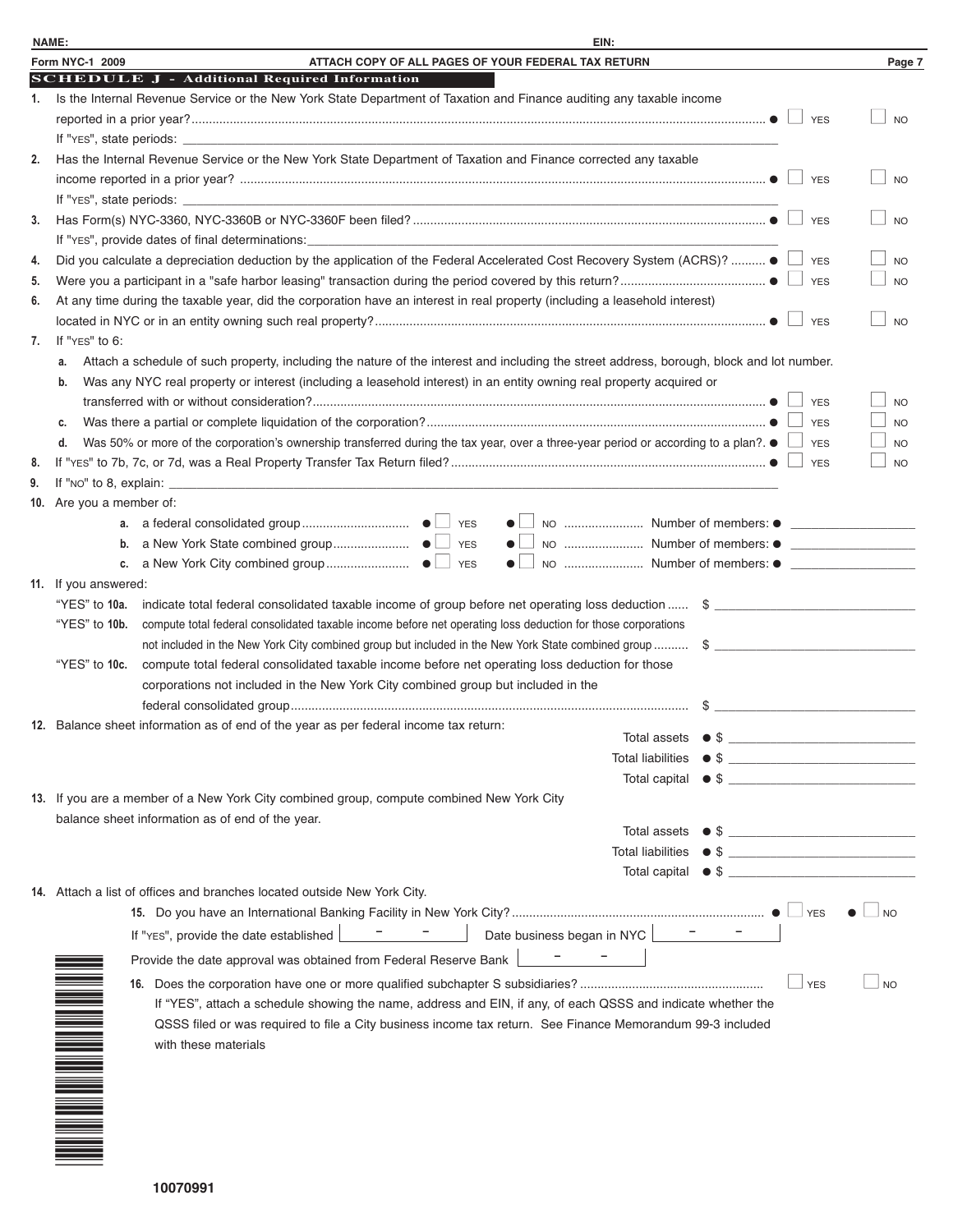| <b>NAME:</b> | EIN:                                                                                                                                                                                                |                             |
|--------------|-----------------------------------------------------------------------------------------------------------------------------------------------------------------------------------------------------|-----------------------------|
|              | Form NYC-1 2009<br>ATTACH COPY OF ALL PAGES OF YOUR FEDERAL TAX RETURN                                                                                                                              | Page 7                      |
|              | <b>SCHEDULE J - Additional Required Information</b>                                                                                                                                                 |                             |
| 1.           | Is the Internal Revenue Service or the New York State Department of Taxation and Finance auditing any taxable income                                                                                |                             |
|              | <b>YES</b>                                                                                                                                                                                          | <b>NO</b>                   |
|              |                                                                                                                                                                                                     |                             |
| 2.           | Has the Internal Revenue Service or the New York State Department of Taxation and Finance corrected any taxable                                                                                     |                             |
|              |                                                                                                                                                                                                     | <b>NO</b>                   |
|              | If "YES", state periods:                                                                                                                                                                            |                             |
| 3.           | <b>YES</b>                                                                                                                                                                                          | N <sub>O</sub>              |
|              | If "YES", provide dates of final determinations:                                                                                                                                                    |                             |
| 4.           | Did you calculate a depreciation deduction by the application of the Federal Accelerated Cost Recovery System (ACRS)?  ● △ YES                                                                      | <b>NO</b>                   |
| 5.           |                                                                                                                                                                                                     | <b>NO</b>                   |
| 6.           | At any time during the taxable year, did the corporation have an interest in real property (including a leasehold interest)                                                                         |                             |
|              | <b>YES</b>                                                                                                                                                                                          | N <sub>O</sub>              |
| 7.           | If "YES" to 6:                                                                                                                                                                                      |                             |
|              | Attach a schedule of such property, including the nature of the interest and including the street address, borough, block and lot number.<br>а.                                                     |                             |
|              | Was any NYC real property or interest (including a leasehold interest) in an entity owning real property acquired or<br>b.                                                                          |                             |
|              | <b>YES</b>                                                                                                                                                                                          | N <sub>O</sub>              |
|              | <b>YES</b>                                                                                                                                                                                          | <b>NO</b>                   |
|              | Was 50% or more of the corporation's ownership transferred during the tax year, over a three-year period or according to a plan?. ●<br>d.<br><b>YES</b>                                             | <b>NO</b>                   |
| 8.           | <b>YES</b>                                                                                                                                                                                          | <b>NO</b>                   |
| 9.           |                                                                                                                                                                                                     |                             |
|              | 10. Are you a member of:                                                                                                                                                                            |                             |
|              |                                                                                                                                                                                                     |                             |
|              | b.                                                                                                                                                                                                  |                             |
|              | NO  Number of members: ● ________________________________<br>c.<br>$\bullet$ .                                                                                                                      |                             |
|              | 11. If you answered:                                                                                                                                                                                |                             |
|              | "YES" to 10a.<br>indicate total federal consolidated taxable income of group before net operating loss deduction  \$                                                                                |                             |
|              | "YES" to 10b.<br>compute total federal consolidated taxable income before net operating loss deduction for those corporations                                                                       |                             |
|              | not included in the New York City combined group but included in the New York State combined group  \$                                                                                              |                             |
|              | "YES" to 10c.<br>compute total federal consolidated taxable income before net operating loss deduction for those                                                                                    |                             |
|              | corporations not included in the New York City combined group but included in the                                                                                                                   |                             |
|              |                                                                                                                                                                                                     |                             |
|              | 12. Balance sheet information as of end of the year as per federal income tax return:<br>Total assets<br>$\bullet$ \$<br>the control of the control of the control of the control of the control of |                             |
|              | Total liabilities<br>$\bullet$ \$                                                                                                                                                                   |                             |
|              | $Total capital \bullet $$                                                                                                                                                                           |                             |
|              | 13. If you are a member of a New York City combined group, compute combined New York City                                                                                                           |                             |
|              | balance sheet information as of end of the year.                                                                                                                                                    |                             |
|              | Total assets $\bullet$ \$ $\frac{1}{\frac{1}{2}$                                                                                                                                                    |                             |
|              |                                                                                                                                                                                                     |                             |
|              | Total capital $\bullet$ \$                                                                                                                                                                          |                             |
|              | 14. Attach a list of offices and branches located outside New York City.                                                                                                                            |                             |
|              | YES                                                                                                                                                                                                 | $\overline{\phantom{0}}$ NO |
|              | Date business began in NYC <b>Fig.</b><br>If "YES", provide the date established                                                                                                                    |                             |
|              | Provide the date approval was obtained from Federal Reserve Bank                                                                                                                                    |                             |
|              | <b>YES</b>                                                                                                                                                                                          | $\Box$ NO                   |
|              | If "YES", attach a schedule showing the name, address and EIN, if any, of each QSSS and indicate whether the                                                                                        |                             |
|              | QSSS filed or was required to file a City business income tax return. See Finance Memorandum 99-3 included                                                                                          |                             |
|              | with these materials                                                                                                                                                                                |                             |
|              |                                                                                                                                                                                                     |                             |
|              |                                                                                                                                                                                                     |                             |

\* 1 0 <u>000 - 1000 - 1000 - 1000 - 1000 - 1000 - 1000 - 1000 - 1000 - 1000 - 1000 - 1000 - 1000 - 1000 - 1000 - 1000 </u>